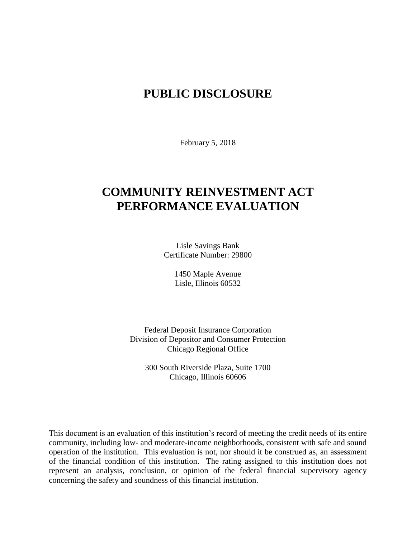# **PUBLIC DISCLOSURE**

February 5, 2018

# **COMMUNITY REINVESTMENT ACT PERFORMANCE EVALUATION**

Lisle Savings Bank Certificate Number: 29800

> 1450 Maple Avenue Lisle, Illinois 60532

Federal Deposit Insurance Corporation Division of Depositor and Consumer Protection Chicago Regional Office

300 South Riverside Plaza, Suite 1700 Chicago, Illinois 60606

This document is an evaluation of this institution's record of meeting the credit needs of its entire community, including low- and moderate-income neighborhoods, consistent with safe and sound operation of the institution.This evaluation is not, nor should it be construed as, an assessment of the financial condition of this institution. The rating assigned to this institution does not represent an analysis, conclusion, or opinion of the federal financial supervisory agency concerning the safety and soundness of this financial institution.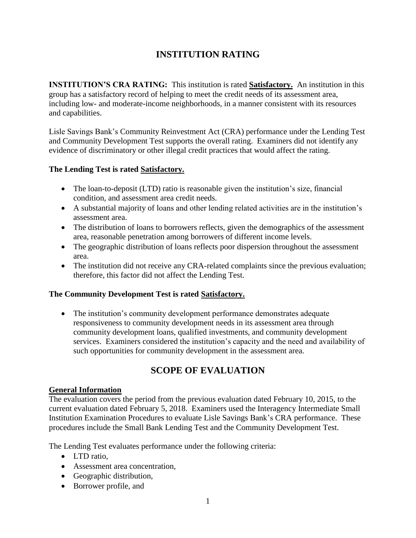# **INSTITUTION RATING**

**INSTITUTION'S CRA RATING:** This institution is rated **Satisfactory.** An institution in this group has a satisfactory record of helping to meet the credit needs of its assessment area, including low- and moderate-income neighborhoods, in a manner consistent with its resources and capabilities.

Lisle Savings Bank's Community Reinvestment Act (CRA) performance under the Lending Test and Community Development Test supports the overall rating. Examiners did not identify any evidence of discriminatory or other illegal credit practices that would affect the rating.

## **The Lending Test is rated Satisfactory.**

- The loan-to-deposit (LTD) ratio is reasonable given the institution's size, financial condition, and assessment area credit needs.
- A substantial majority of loans and other lending related activities are in the institution's assessment area.
- The distribution of loans to borrowers reflects, given the demographics of the assessment area, reasonable penetration among borrowers of different income levels.
- The geographic distribution of loans reflects poor dispersion throughout the assessment area.
- The institution did not receive any CRA-related complaints since the previous evaluation; therefore, this factor did not affect the Lending Test.

## **The Community Development Test is rated Satisfactory.**

• The institution's community development performance demonstrates adequate responsiveness to community development needs in its assessment area through community development loans, qualified investments, and community development services. Examiners considered the institution's capacity and the need and availability of such opportunities for community development in the assessment area.

# **SCOPE OF EVALUATION**

#### **General Information**

The evaluation covers the period from the previous evaluation dated February 10, 2015, to the current evaluation dated February 5, 2018. Examiners used the Interagency Intermediate Small Institution Examination Procedures to evaluate Lisle Savings Bank's CRA performance. These procedures include the Small Bank Lending Test and the Community Development Test.

The Lending Test evaluates performance under the following criteria:

- LTD ratio.
- Assessment area concentration,
- Geographic distribution,
- Borrower profile, and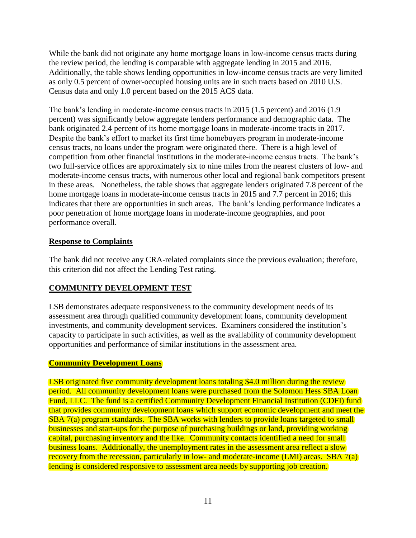While the bank did not originate any home mortgage loans in low-income census tracts during the review period, the lending is comparable with aggregate lending in 2015 and 2016. Additionally, the table shows lending opportunities in low-income census tracts are very limited as only 0.5 percent of owner-occupied housing units are in such tracts based on 2010 U.S. Census data and only 1.0 percent based on the 2015 ACS data.

The bank's lending in moderate-income census tracts in 2015 (1.5 percent) and 2016 (1.9 percent) was significantly below aggregate lenders performance and demographic data. The bank originated 2.4 percent of its home mortgage loans in moderate-income tracts in 2017. Despite the bank's effort to market its first time homebuyers program in moderate-income census tracts, no loans under the program were originated there. There is a high level of competition from other financial institutions in the moderate-income census tracts. The bank's two full-service offices are approximately six to nine miles from the nearest clusters of low- and moderate-income census tracts, with numerous other local and regional bank competitors present in these areas. Nonetheless, the table shows that aggregate lenders originated 7.8 percent of the home mortgage loans in moderate-income census tracts in 2015 and 7.7 percent in 2016; this indicates that there are opportunities in such areas. The bank's lending performance indicates a poor penetration of home mortgage loans in moderate-income geographies, and poor performance overall.

#### **Response to Complaints**

The bank did not receive any CRA-related complaints since the previous evaluation; therefore, this criterion did not affect the Lending Test rating.

# **COMMUNITY DEVELOPMENT TEST**

LSB demonstrates adequate responsiveness to the community development needs of its assessment area through qualified community development loans, community development investments, and community development services. Examiners considered the institution's capacity to participate in such activities, as well as the availability of community development opportunities and performance of similar institutions in the assessment area.

## **Community Development Loans**

LSB originated five community development loans totaling \$4.0 million during the review period. All community development loans were purchased from the Solomon Hess SBA Loan Fund, LLC. The fund is a certified Community Development Financial Institution (CDFI) fund that provides community development loans which support economic development and meet the SBA 7(a) program standards. The SBA works with lenders to provide loans targeted to small businesses and start-ups for the purpose of purchasing buildings or land, providing working capital, purchasing inventory and the like. Community contacts identified a need for small business loans. Additionally, the unemployment rates in the assessment area reflect a slow recovery from the recession, particularly in low- and moderate-income (LMI) areas. SBA 7(a) lending is considered responsive to assessment area needs by supporting job creation.